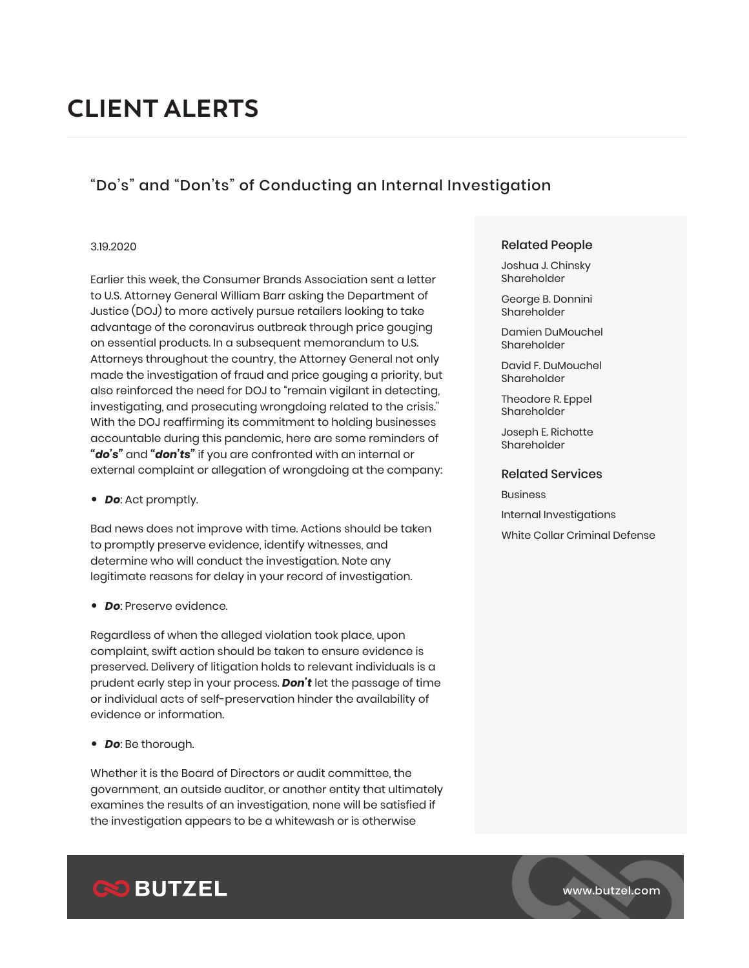# **CLIENT ALERTS**

## "Do's" and "Don'ts" of Conducting an Internal Investigation

#### 3.19.2020

Earlier this week, the Consumer Brands Association sent a letter to U.S. Attorney General William Barr asking the Department of Justice (DOJ) to more actively pursue retailers looking to take advantage of the coronavirus outbreak through price gouging on essential products. In a subsequent memorandum to U.S. Attorneys throughout the country, the Attorney General not only made the investigation of fraud and price gouging a priority, but also reinforced the need for DOJ to "remain vigilant in detecting, investigating, and prosecuting wrongdoing related to the crisis." With the DOJ reaffirming its commitment to holding businesses accountable during this pandemic, here are some reminders of *"do's"* and *"don'ts"* if you are confronted with an internal or external complaint or allegation of wrongdoing at the company:

● *Do*: Act promptly.

Bad news does not improve with time. Actions should be taken to promptly preserve evidence, identify witnesses, and determine who will conduct the investigation. Note any legitimate reasons for delay in your record of investigation.

● *Do*: Preserve evidence.

Regardless of when the alleged violation took place, upon complaint, swift action should be taken to ensure evidence is preserved. Delivery of litigation holds to relevant individuals is a prudent early step in your process. *Don't* let the passage of time or individual acts of self-preservation hinder the availability of evidence or information.

● *Do*: Be thorough.

Whether it is the Board of Directors or audit committee, the government, an outside auditor, or another entity that ultimately examines the results of an investigation, none will be satisfied if the investigation appears to be a whitewash or is otherwise

#### Related People

Joshua J. Chinsky Shareholder

George B. Donnini Shareholder

Damien DuMouchel Shareholder

David F. DuMouchel Shareholder

Theodore R. Eppel Shareholder

Joseph E. Richotte Shareholder

#### Related Services

Business Internal Investigations White Collar Criminal Defense



www.butzel.com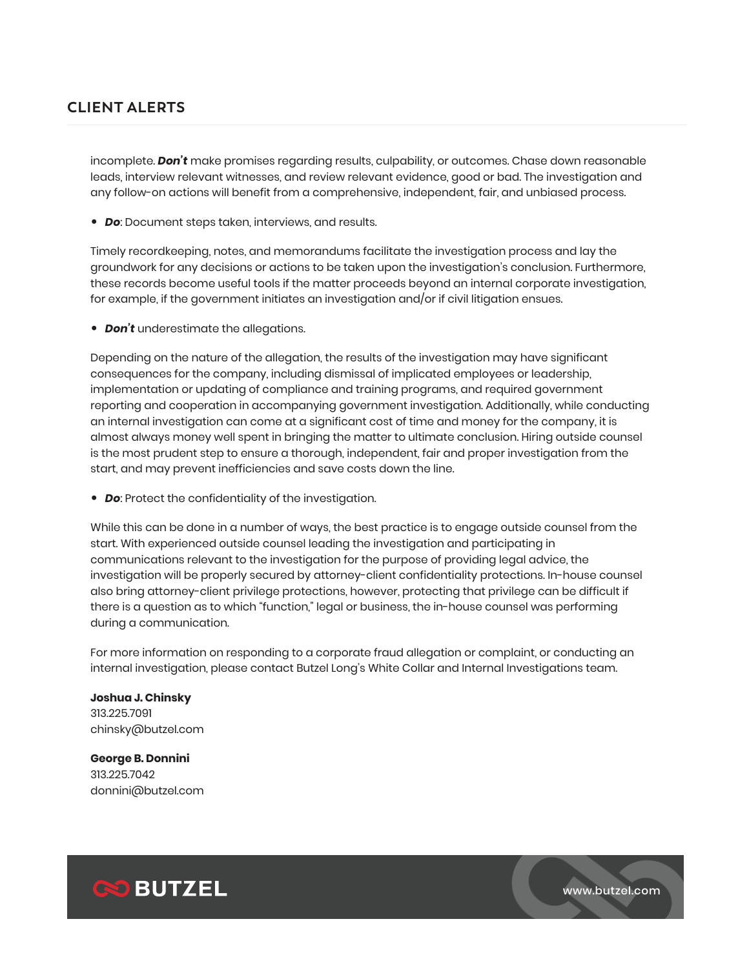## **CLIENT ALERTS**

incomplete. *Don't* make promises regarding results, culpability, or outcomes. Chase down reasonable leads, interview relevant witnesses, and review relevant evidence, good or bad. The investigation and any follow-on actions will benefit from a comprehensive, independent, fair, and unbiased process.

● *Do*: Document steps taken, interviews, and results.

Timely recordkeeping, notes, and memorandums facilitate the investigation process and lay the groundwork for any decisions or actions to be taken upon the investigation's conclusion. Furthermore, these records become useful tools if the matter proceeds beyond an internal corporate investigation, for example, if the government initiates an investigation and/or if civil litigation ensues.

● *Don't* underestimate the allegations.

Depending on the nature of the allegation, the results of the investigation may have significant consequences for the company, including dismissal of implicated employees or leadership, implementation or updating of compliance and training programs, and required government reporting and cooperation in accompanying government investigation. Additionally, while conducting an internal investigation can come at a significant cost of time and money for the company, it is almost always money well spent in bringing the matter to ultimate conclusion. Hiring outside counsel is the most prudent step to ensure a thorough, independent, fair and proper investigation from the start, and may prevent inefficiencies and save costs down the line.

● *Do*: Protect the confidentiality of the investigation.

While this can be done in a number of ways, the best practice is to engage outside counsel from the start. With experienced outside counsel leading the investigation and participating in communications relevant to the investigation for the purpose of providing legal advice, the investigation will be properly secured by attorney-client confidentiality protections. In-house counsel also bring attorney-client privilege protections, however, protecting that privilege can be difficult if there is a question as to which "function," legal or business, the in-house counsel was performing during a communication.

For more information on responding to a corporate fraud allegation or complaint, or conducting an internal investigation, please contact Butzel Long's White Collar and Internal Investigations team.

**Joshua J. Chinsky** 313.225.7091 chinsky@butzel.com

**George B. Donnini**  313.225.7042 donnini@butzel.com



www.butzel.com